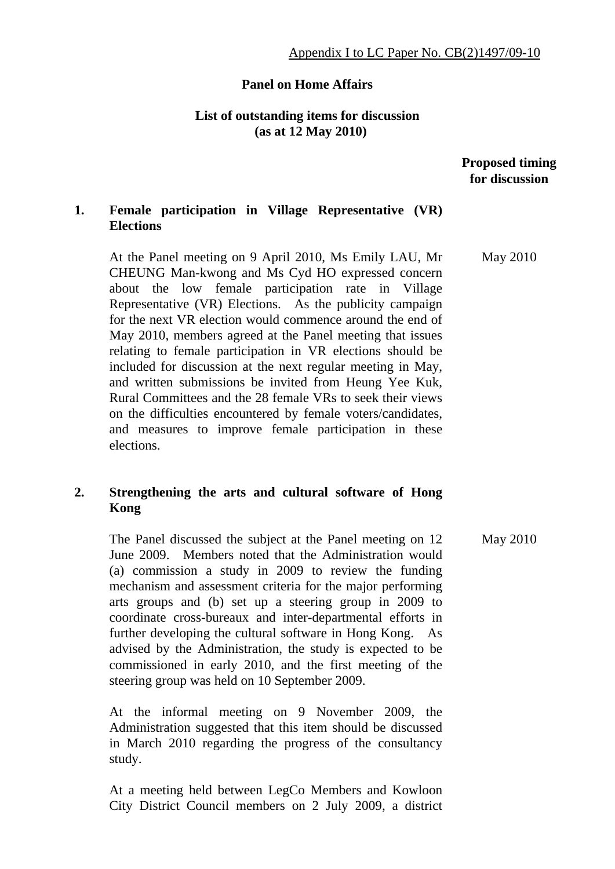#### **Panel on Home Affairs**

## **List of outstanding items for discussion (as at 12 May 2010)**

## **Proposed timing for discussion**

# **1. Female participation in Village Representative (VR) Elections**

At the Panel meeting on 9 April 2010, Ms Emily LAU, Mr CHEUNG Man-kwong and Ms Cyd HO expressed concern about the low female participation rate in Village Representative (VR) Elections. As the publicity campaign for the next VR election would commence around the end of May 2010, members agreed at the Panel meeting that issues relating to female participation in VR elections should be included for discussion at the next regular meeting in May, and written submissions be invited from Heung Yee Kuk, Rural Committees and the 28 female VRs to seek their views on the difficulties encountered by female voters/candidates, and measures to improve female participation in these elections. May 2010

## **2. Strengthening the arts and cultural software of Hong Kong**

The Panel discussed the subject at the Panel meeting on 12 June 2009. Members noted that the Administration would (a) commission a study in 2009 to review the funding mechanism and assessment criteria for the major performing arts groups and (b) set up a steering group in 2009 to coordinate cross-bureaux and inter-departmental efforts in further developing the cultural software in Hong Kong. As advised by the Administration, the study is expected to be commissioned in early 2010, and the first meeting of the steering group was held on 10 September 2009. May 2010

At the informal meeting on 9 November 2009, the Administration suggested that this item should be discussed in March 2010 regarding the progress of the consultancy study.

At a meeting held between LegCo Members and Kowloon City District Council members on 2 July 2009, a district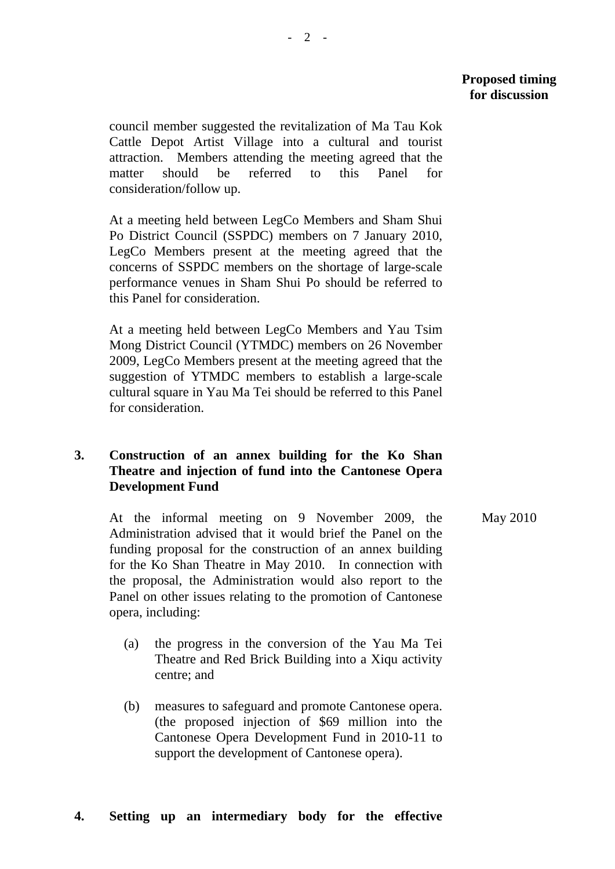### **Proposed timing for discussion**

 $- 2 -$ 

council member suggested the revitalization of Ma Tau Kok Cattle Depot Artist Village into a cultural and tourist attraction. Members attending the meeting agreed that the matter should be referred to this Panel for consideration/follow up.

At a meeting held between LegCo Members and Sham Shui Po District Council (SSPDC) members on 7 January 2010, LegCo Members present at the meeting agreed that the concerns of SSPDC members on the shortage of large-scale performance venues in Sham Shui Po should be referred to this Panel for consideration.

At a meeting held between LegCo Members and Yau Tsim Mong District Council (YTMDC) members on 26 November 2009, LegCo Members present at the meeting agreed that the suggestion of YTMDC members to establish a large-scale cultural square in Yau Ma Tei should be referred to this Panel for consideration.

# **3. Construction of an annex building for the Ko Shan Theatre and injection of fund into the Cantonese Opera Development Fund**

At the informal meeting on 9 November 2009, the Administration advised that it would brief the Panel on the funding proposal for the construction of an annex building for the Ko Shan Theatre in May 2010. In connection with the proposal, the Administration would also report to the Panel on other issues relating to the promotion of Cantonese opera, including: May 2010

- (a) the progress in the conversion of the Yau Ma Tei Theatre and Red Brick Building into a Xiqu activity centre; and
- (b) measures to safeguard and promote Cantonese opera. (the proposed injection of \$69 million into the Cantonese Opera Development Fund in 2010-11 to support the development of Cantonese opera).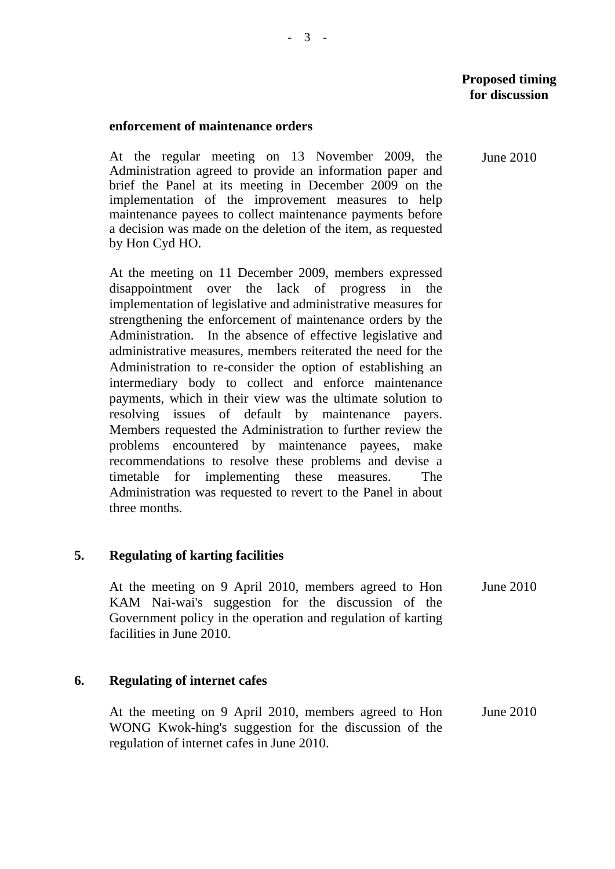## **Proposed timing for discussion**

#### **enforcement of maintenance orders**

At the regular meeting on 13 November 2009, the Administration agreed to provide an information paper and brief the Panel at its meeting in December 2009 on the implementation of the improvement measures to help maintenance payees to collect maintenance payments before a decision was made on the deletion of the item, as requested by Hon Cyd HO.

At the meeting on 11 December 2009, members expressed disappointment over the lack of progress in the implementation of legislative and administrative measures for strengthening the enforcement of maintenance orders by the Administration. In the absence of effective legislative and administrative measures, members reiterated the need for the Administration to re-consider the option of establishing an intermediary body to collect and enforce maintenance payments, which in their view was the ultimate solution to resolving issues of default by maintenance payers. Members requested the Administration to further review the problems encountered by maintenance payees, make recommendations to resolve these problems and devise a timetable for implementing these measures. The Administration was requested to revert to the Panel in about three months.

#### **5. Regulating of karting facilities**

At the meeting on 9 April 2010, members agreed to Hon KAM Nai-wai's suggestion for the discussion of the Government policy in the operation and regulation of karting facilities in June 2010. June 2010

#### **6. Regulating of internet cafes**

At the meeting on 9 April 2010, members agreed to Hon WONG Kwok-hing's suggestion for the discussion of the regulation of internet cafes in June 2010. June 2010

June 2010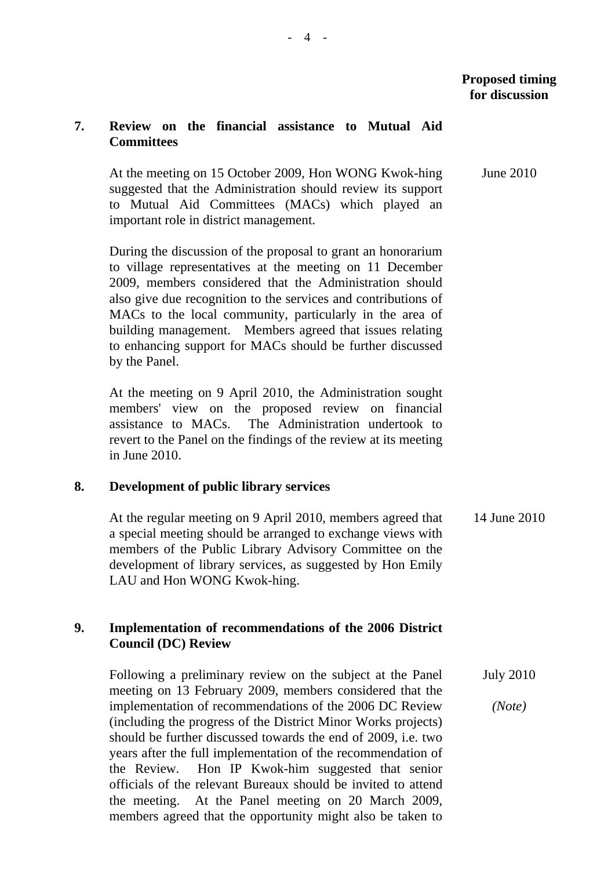June 2010

## **7. Review on the financial assistance to Mutual Aid Committees**

At the meeting on 15 October 2009, Hon WONG Kwok-hing suggested that the Administration should review its support to Mutual Aid Committees (MACs) which played an important role in district management.

During the discussion of the proposal to grant an honorarium to village representatives at the meeting on 11 December 2009, members considered that the Administration should also give due recognition to the services and contributions of MACs to the local community, particularly in the area of building management. Members agreed that issues relating to enhancing support for MACs should be further discussed by the Panel.

At the meeting on 9 April 2010, the Administration sought members' view on the proposed review on financial assistance to MACs. The Administration undertook to revert to the Panel on the findings of the review at its meeting in June 2010.

## **8. Development of public library services**

At the regular meeting on 9 April 2010, members agreed that a special meeting should be arranged to exchange views with members of the Public Library Advisory Committee on the development of library services, as suggested by Hon Emily LAU and Hon WONG Kwok-hing. 14 June 2010

# **9. Implementation of recommendations of the 2006 District Council (DC) Review**

Following a preliminary review on the subject at the Panel meeting on 13 February 2009, members considered that the implementation of recommendations of the 2006 DC Review (including the progress of the District Minor Works projects) should be further discussed towards the end of 2009, i.e. two years after the full implementation of the recommendation of the Review. Hon IP Kwok-him suggested that senior officials of the relevant Bureaux should be invited to attend the meeting. At the Panel meeting on 20 March 2009, members agreed that the opportunity might also be taken to July 2010 *(Note)*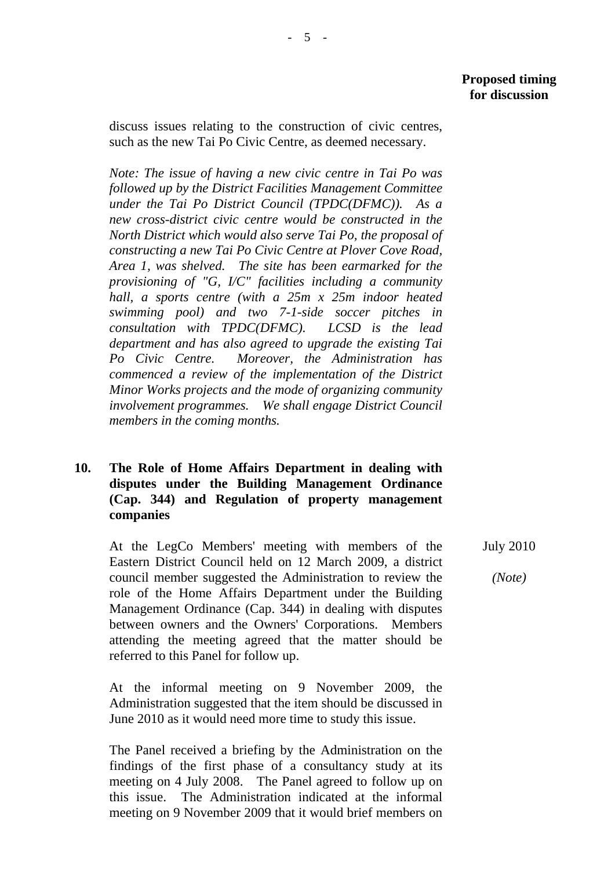discuss issues relating to the construction of civic centres, such as the new Tai Po Civic Centre, as deemed necessary.

*Note: The issue of having a new civic centre in Tai Po was followed up by the District Facilities Management Committee under the Tai Po District Council (TPDC(DFMC)). As a new cross-district civic centre would be constructed in the North District which would also serve Tai Po, the proposal of constructing a new Tai Po Civic Centre at Plover Cove Road, Area 1, was shelved. The site has been earmarked for the provisioning of "G, I/C" facilities including a community hall, a sports centre (with a 25m x 25m indoor heated swimming pool) and two 7-1-side soccer pitches in consultation with TPDC(DFMC). LCSD is the lead department and has also agreed to upgrade the existing Tai Po Civic Centre. Moreover, the Administration has commenced a review of the implementation of the District Minor Works projects and the mode of organizing community involvement programmes. We shall engage District Council members in the coming months.* 

## **10. The Role of Home Affairs Department in dealing with disputes under the Building Management Ordinance (Cap. 344) and Regulation of property management companies**

At the LegCo Members' meeting with members of the Eastern District Council held on 12 March 2009, a district council member suggested the Administration to review the role of the Home Affairs Department under the Building Management Ordinance (Cap. 344) in dealing with disputes between owners and the Owners' Corporations. Members attending the meeting agreed that the matter should be referred to this Panel for follow up.

At the informal meeting on 9 November 2009, the Administration suggested that the item should be discussed in June 2010 as it would need more time to study this issue.

The Panel received a briefing by the Administration on the findings of the first phase of a consultancy study at its meeting on 4 July 2008. The Panel agreed to follow up on this issue. The Administration indicated at the informal meeting on 9 November 2009 that it would brief members on July 2010

*(Note)*